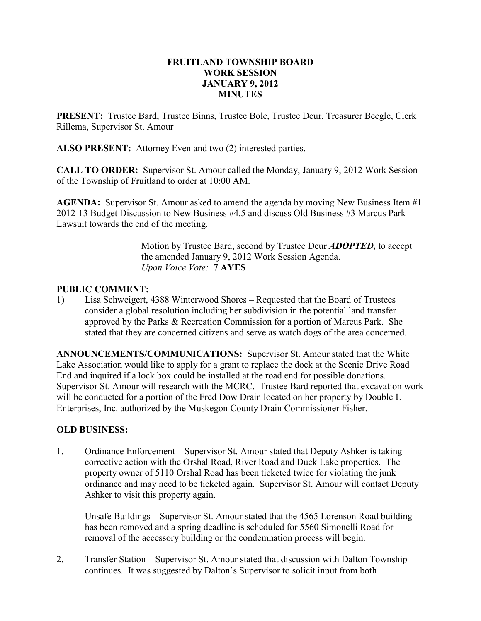## FRUITLAND TOWNSHIP BOARD WORK SESSION JANUARY 9, 2012 MINUTES

PRESENT: Trustee Bard, Trustee Binns, Trustee Bole, Trustee Deur, Treasurer Beegle, Clerk Rillema, Supervisor St. Amour

ALSO PRESENT: Attorney Even and two (2) interested parties.

CALL TO ORDER: Supervisor St. Amour called the Monday, January 9, 2012 Work Session of the Township of Fruitland to order at 10:00 AM.

AGENDA: Supervisor St. Amour asked to amend the agenda by moving New Business Item #1 2012-13 Budget Discussion to New Business #4.5 and discuss Old Business #3 Marcus Park Lawsuit towards the end of the meeting.

> Motion by Trustee Bard, second by Trustee Deur ADOPTED, to accept the amended January 9, 2012 Work Session Agenda. Upon Voice Vote: **7 AYES**

# PUBLIC COMMENT:

1) Lisa Schweigert, 4388 Winterwood Shores – Requested that the Board of Trustees consider a global resolution including her subdivision in the potential land transfer approved by the Parks & Recreation Commission for a portion of Marcus Park. She stated that they are concerned citizens and serve as watch dogs of the area concerned.

ANNOUNCEMENTS/COMMUNICATIONS: Supervisor St. Amour stated that the White Lake Association would like to apply for a grant to replace the dock at the Scenic Drive Road End and inquired if a lock box could be installed at the road end for possible donations. Supervisor St. Amour will research with the MCRC. Trustee Bard reported that excavation work will be conducted for a portion of the Fred Dow Drain located on her property by Double L Enterprises, Inc. authorized by the Muskegon County Drain Commissioner Fisher.

## OLD BUSINESS:

1. Ordinance Enforcement – Supervisor St. Amour stated that Deputy Ashker is taking corrective action with the Orshal Road, River Road and Duck Lake properties. The property owner of 5110 Orshal Road has been ticketed twice for violating the junk ordinance and may need to be ticketed again. Supervisor St. Amour will contact Deputy Ashker to visit this property again.

Unsafe Buildings – Supervisor St. Amour stated that the 4565 Lorenson Road building has been removed and a spring deadline is scheduled for 5560 Simonelli Road for removal of the accessory building or the condemnation process will begin.

2. Transfer Station – Supervisor St. Amour stated that discussion with Dalton Township continues. It was suggested by Dalton's Supervisor to solicit input from both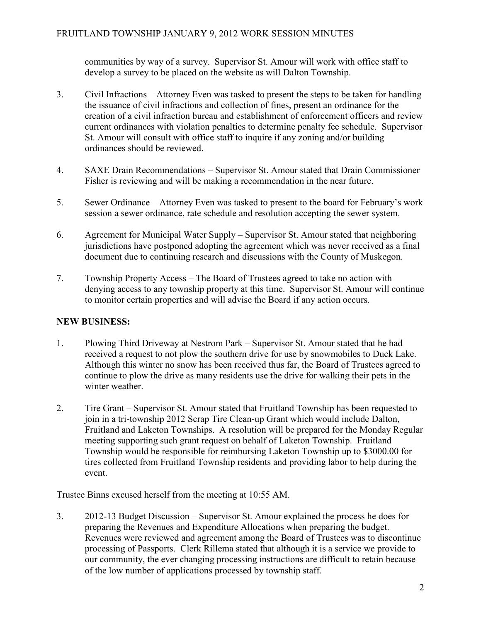communities by way of a survey. Supervisor St. Amour will work with office staff to develop a survey to be placed on the website as will Dalton Township.

- 3. Civil Infractions Attorney Even was tasked to present the steps to be taken for handling the issuance of civil infractions and collection of fines, present an ordinance for the creation of a civil infraction bureau and establishment of enforcement officers and review current ordinances with violation penalties to determine penalty fee schedule. Supervisor St. Amour will consult with office staff to inquire if any zoning and/or building ordinances should be reviewed.
- 4. SAXE Drain Recommendations Supervisor St. Amour stated that Drain Commissioner Fisher is reviewing and will be making a recommendation in the near future.
- 5. Sewer Ordinance Attorney Even was tasked to present to the board for February's work session a sewer ordinance, rate schedule and resolution accepting the sewer system.
- 6. Agreement for Municipal Water Supply Supervisor St. Amour stated that neighboring jurisdictions have postponed adopting the agreement which was never received as a final document due to continuing research and discussions with the County of Muskegon.
- 7. Township Property Access The Board of Trustees agreed to take no action with denying access to any township property at this time. Supervisor St. Amour will continue to monitor certain properties and will advise the Board if any action occurs.

# NEW BUSINESS:

- 1. Plowing Third Driveway at Nestrom Park Supervisor St. Amour stated that he had received a request to not plow the southern drive for use by snowmobiles to Duck Lake. Although this winter no snow has been received thus far, the Board of Trustees agreed to continue to plow the drive as many residents use the drive for walking their pets in the winter weather.
- 2. Tire Grant Supervisor St. Amour stated that Fruitland Township has been requested to join in a tri-township 2012 Scrap Tire Clean-up Grant which would include Dalton, Fruitland and Laketon Townships. A resolution will be prepared for the Monday Regular meeting supporting such grant request on behalf of Laketon Township. Fruitland Township would be responsible for reimbursing Laketon Township up to \$3000.00 for tires collected from Fruitland Township residents and providing labor to help during the event.

Trustee Binns excused herself from the meeting at 10:55 AM.

3. 2012-13 Budget Discussion – Supervisor St. Amour explained the process he does for preparing the Revenues and Expenditure Allocations when preparing the budget. Revenues were reviewed and agreement among the Board of Trustees was to discontinue processing of Passports. Clerk Rillema stated that although it is a service we provide to our community, the ever changing processing instructions are difficult to retain because of the low number of applications processed by township staff.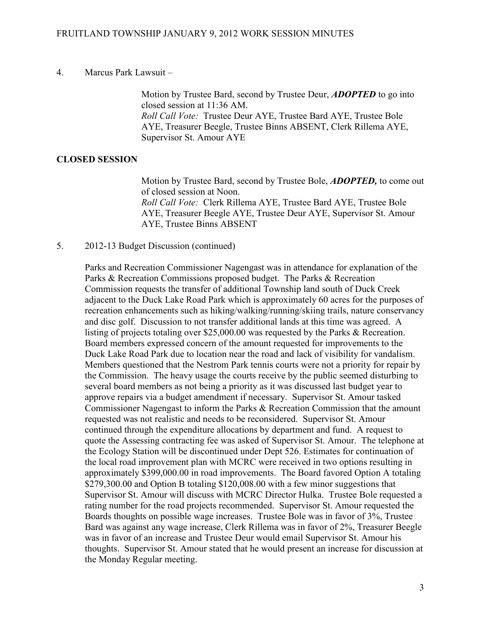#### 4. Marcus Park Lawsuit –

Motion by Trustee Bard, second by Trustee Deur, **ADOPTED** to go into closed session at 11:36 AM. Roll Call Vote: Trustee Deur AYE, Trustee Bard AYE, Trustee Bole AYE, Treasurer Beegle, Trustee Binns ABSENT, Clerk Rillema AYE, Supervisor St. Amour AYE

## CLOSED SESSION

Motion by Trustee Bard, second by Trustee Bole, **ADOPTED**, to come out of closed session at Noon. Roll Call Vote: Clerk Rillema AYE, Trustee Bard AYE, Trustee Bole AYE, Treasurer Beegle AYE, Trustee Deur AYE, Supervisor St. Amour AYE, Trustee Binns ABSENT

## 5. 2012-13 Budget Discussion (continued)

Parks and Recreation Commissioner Nagengast was in attendance for explanation of the Parks & Recreation Commissions proposed budget. The Parks & Recreation Commission requests the transfer of additional Township land south of Duck Creek adjacent to the Duck Lake Road Park which is approximately 60 acres for the purposes of recreation enhancements such as hiking/walking/running/skiing trails, nature conservancy and disc golf. Discussion to not transfer additional lands at this time was agreed. A listing of projects totaling over \$25,000.00 was requested by the Parks & Recreation. Board members expressed concern of the amount requested for improvements to the Duck Lake Road Park due to location near the road and lack of visibility for vandalism. Members questioned that the Nestrom Park tennis courts were not a priority for repair by the Commission. The heavy usage the courts receive by the public seemed disturbing to several board members as not being a priority as it was discussed last budget year to approve repairs via a budget amendment if necessary. Supervisor St. Amour tasked Commissioner Nagengast to inform the Parks & Recreation Commission that the amount requested was not realistic and needs to be reconsidered. Supervisor St. Amour continued through the expenditure allocations by department and fund. A request to quote the Assessing contracting fee was asked of Supervisor St. Amour. The telephone at the Ecology Station will be discontinued under Dept 526. Estimates for continuation of the local road improvement plan with MCRC were received in two options resulting in approximately \$399,000.00 in road improvements. The Board favored Option A totaling \$279,300.00 and Option B totaling \$120,008.00 with a few minor suggestions that Supervisor St. Amour will discuss with MCRC Director Hulka. Trustee Bole requested a rating number for the road projects recommended. Supervisor St. Amour requested the Boards thoughts on possible wage increases. Trustee Bole was in favor of 3%, Trustee Bard was against any wage increase, Clerk Rillema was in favor of 2%, Treasurer Beegle was in favor of an increase and Trustee Deur would email Supervisor St. Amour his thoughts. Supervisor St. Amour stated that he would present an increase for discussion at the Monday Regular meeting.